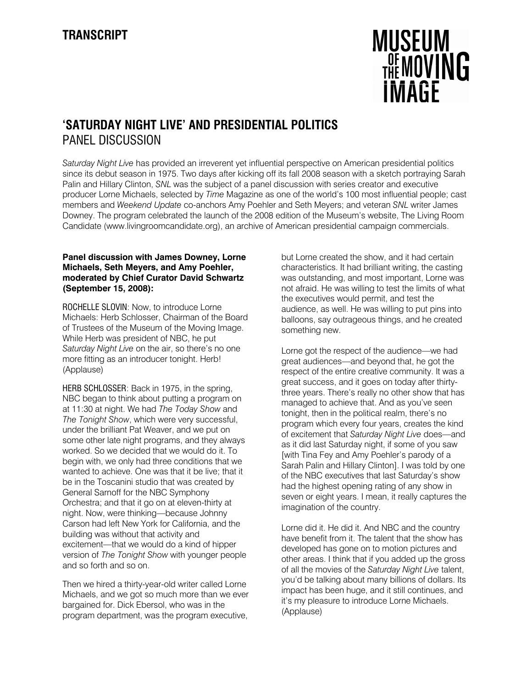

# **'SATURDAY NIGHT LIVE' AND PRESIDENTIAL POLITICS**  PANEL DISCUSSION

*Saturday Night Live* has provided an irreverent yet influential perspective on American presidential politics since its debut season in 1975. Two days after kicking off its fall 2008 season with a sketch portraying Sarah Palin and Hillary Clinton, *SNL* was the subject of a panel discussion with series creator and executive producer Lorne Michaels, selected by *Time* Magazine as one of the world's 100 most influential people; cast members and *Weekend Update* co-anchors Amy Poehler and Seth Meyers; and veteran *SNL* writer James Downey. The program celebrated the launch of the 2008 edition of the Museum's website, The Living Room Candidate (www.livingroomcandidate.org), an archive of American presidential campaign commercials.

## **Panel discussion with James Downey, Lorne Michaels, Seth Meyers, and Amy Poehler, moderated by Chief Curator David Schwartz (September 15, 2008):**

ROCHELLE SLOVIN: Now, to introduce Lorne Michaels: Herb Schlosser, Chairman of the Board of Trustees of the Museum of the Moving Image. While Herb was president of NBC, he put *Saturday Night Live* on the air, so there's no one more fitting as an introducer tonight. Herb! (Applause)

HERB SCHLOSSER: Back in 1975, in the spring, NBC began to think about putting a program on at 11:30 at night. We had *The Today Show* and *The Tonight Show*, which were very successful, under the brilliant Pat Weaver, and we put on some other late night programs, and they always worked. So we decided that we would do it. To begin with, we only had three conditions that we wanted to achieve. One was that it be live; that it be in the Toscanini studio that was created by General Sarnoff for the NBC Symphony Orchestra; and that it go on at eleven-thirty at night. Now, were thinking—because Johnny Carson had left New York for California, and the building was without that activity and excitement—that we would do a kind of hipper version of *The Tonight Show* with younger people and so forth and so on.

Then we hired a thirty-year-old writer called Lorne Michaels, and we got so much more than we ever bargained for. Dick Ebersol, who was in the program department, was the program executive,

but Lorne created the show, and it had certain characteristics. It had brilliant writing, the casting was outstanding, and most important, Lorne was not afraid. He was willing to test the limits of what the executives would permit, and test the audience, as well. He was willing to put pins into balloons, say outrageous things, and he created something new.

Lorne got the respect of the audience—we had great audiences—and beyond that, he got the respect of the entire creative community. It was a great success, and it goes on today after thirtythree years. There's really no other show that has managed to achieve that. And as you've seen tonight, then in the political realm, there's no program which every four years, creates the kind of excitement that *Saturday Night Live* does—and as it did last Saturday night, if some of you saw [with Tina Fey and Amy Poehler's parody of a Sarah Palin and Hillary Clinton]. I was told by one of the NBC executives that last Saturday's show had the highest opening rating of any show in seven or eight years. I mean, it really captures the imagination of the country.

Lorne did it. He did it. And NBC and the country have benefit from it. The talent that the show has developed has gone on to motion pictures and other areas. I think that if you added up the gross of all the movies of the *Saturday Night Live* talent, you'd be talking about many billions of dollars. Its impact has been huge, and it still continues, and it's my pleasure to introduce Lorne Michaels. (Applause)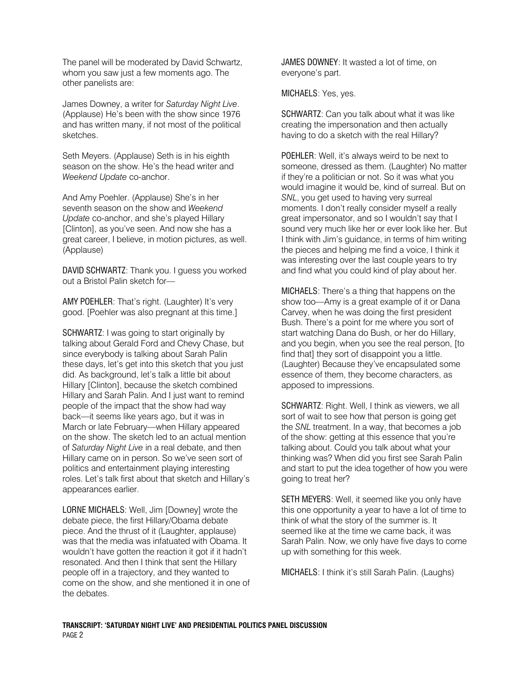The panel will be moderated by David Schwartz, whom you saw just a few moments ago. The other panelists are:

James Downey, a writer for *Saturday Night Live*. (Applause) He's been with the show since 1976 and has written many, if not most of the political sketches.

Seth Meyers. (Applause) Seth is in his eighth season on the show. He's the head writer and *Weekend Update* co-anchor.

And Amy Poehler. (Applause) She's in her seventh season on the show and *Weekend Update* co-anchor, and she's played Hillary [Clinton], as you've seen. And now she has a great career, I believe, in motion pictures, as well. (Applause)

DAVID SCHWARTZ: Thank you. I guess you worked out a Bristol Palin sketch for—

AMY POEHLER: That's right. (Laughter) It's very good. [Poehler was also pregnant at this time.]

SCHWARTZ: I was going to start originally by talking about Gerald Ford and Chevy Chase, but since everybody is talking about Sarah Palin these days, let's get into this sketch that you just did. As background, let's talk a little bit about Hillary [Clinton], because the sketch combined Hillary and Sarah Palin. And I just want to remind people of the impact that the show had way back—it seems like years ago, but it was in March or late February—when Hillary appeared on the show. The sketch led to an actual mention of *Saturday Night Live* in a real debate, and then Hillary came on in person. So we've seen sort of politics and entertainment playing interesting roles. Let's talk first about that sketch and Hillary's appearances earlier.

LORNE MICHAELS: Well, Jim [Downey] wrote the debate piece, the first Hillary/Obama debate piece. And the thrust of it (Laughter, applause) was that the media was infatuated with Obama. It wouldn't have gotten the reaction it got if it hadn't resonated. And then I think that sent the Hillary people off in a trajectory, and they wanted to come on the show, and she mentioned it in one of the debates.

JAMES DOWNEY: It wasted a lot of time, on everyone's part.

MICHAELS: Yes, yes.

SCHWARTZ: Can you talk about what it was like creating the impersonation and then actually having to do a sketch with the real Hillary?

POEHLER: Well, it's always weird to be next to someone, dressed as them. (Laughter) No matter if they're a politician or not. So it was what you would imagine it would be, kind of surreal. But on *SNL*, you get used to having very surreal moments. I don't really consider myself a really great impersonator, and so I wouldn't say that I sound very much like her or ever look like her. But I think with Jim's guidance, in terms of him writing the pieces and helping me find a voice, I think it was interesting over the last couple years to try and find what you could kind of play about her.

MICHAELS: There's a thing that happens on the show too—Amy is a great example of it or Dana Carvey, when he was doing the first president Bush. There's a point for me where you sort of start watching Dana do Bush, or her do Hillary, and you begin, when you see the real person, [to find that] they sort of disappoint you a little. (Laughter) Because they've encapsulated some essence of them, they become characters, as apposed to impressions.

SCHWARTZ: Right. Well, I think as viewers, we all sort of wait to see how that person is going get the *SNL* treatment. In a way, that becomes a job of the show: getting at this essence that you're talking about. Could you talk about what your thinking was? When did you first see Sarah Palin and start to put the idea together of how you were going to treat her?

SETH MEYERS: Well, it seemed like you only have this one opportunity a year to have a lot of time to think of what the story of the summer is. It seemed like at the time we came back, it was Sarah Palin. Now, we only have five days to come up with something for this week.

MICHAELS: I think it's still Sarah Palin. (Laughs)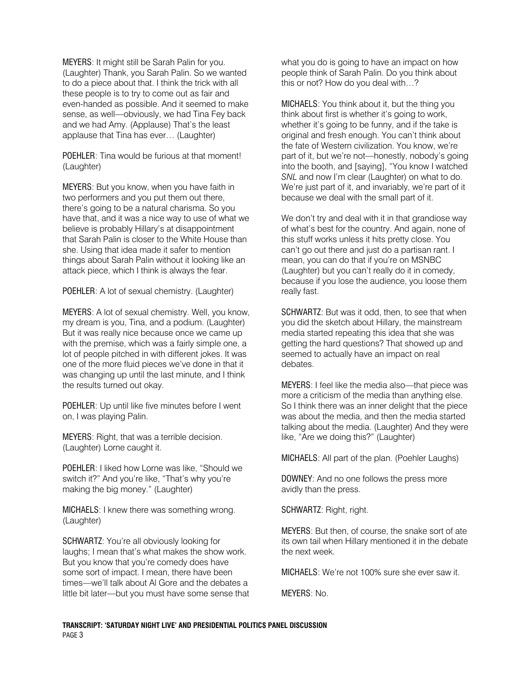MEYERS: It might still be Sarah Palin for you. (Laughter) Thank, you Sarah Palin. So we wanted to do a piece about that. I think the trick with all these people is to try to come out as fair and even-handed as possible. And it seemed to make sense, as well—obviously, we had Tina Fey back and we had Amy. (Applause) That's the least applause that Tina has ever… (Laughter)

POEHLER: Tina would be furious at that moment! (Laughter)

MEYERS: But you know, when you have faith in two performers and you put them out there, there's going to be a natural charisma. So you have that, and it was a nice way to use of what we believe is probably Hillary's at disappointment that Sarah Palin is closer to the White House than she. Using that idea made it safer to mention things about Sarah Palin without it looking like an attack piece, which I think is always the fear.

POEHLER: A lot of sexual chemistry. (Laughter)

MEYERS: A lot of sexual chemistry. Well, you know, my dream is you, Tina, and a podium. (Laughter) But it was really nice because once we came up with the premise, which was a fairly simple one, a lot of people pitched in with different jokes. It was one of the more fluid pieces we've done in that it was changing up until the last minute, and I think the results turned out okay.

POEHLER: Up until like five minutes before I went on, I was playing Palin.

MEYERS: Right, that was a terrible decision. (Laughter) Lorne caught it.

POEHLER: I liked how Lorne was like, "Should we switch it?" And you're like, "That's why you're making the big money." (Laughter)

MICHAELS: I knew there was something wrong. (Laughter)

SCHWARTZ: You're all obviously looking for laughs; I mean that's what makes the show work. But you know that you're comedy does have some sort of impact. I mean, there have been times—we'll talk about Al Gore and the debates a little bit later—but you must have some sense that what you do is going to have an impact on how people think of Sarah Palin. Do you think about this or not? How do you deal with…?

MICHAELS: You think about it, but the thing you think about first is whether it's going to work, whether it's going to be funny, and if the take is original and fresh enough. You can't think about the fate of Western civilization. You know, we're part of it, but we're not—honestly, nobody's going into the booth, and [saying], "You know I watched *SNL* and now I'm clear (Laughter) on what to do. We're just part of it, and invariably, we're part of it because we deal with the small part of it.

We don't try and deal with it in that grandiose way of what's best for the country. And again, none of this stuff works unless it hits pretty close. You can't go out there and just do a partisan rant. I mean, you can do that if you're on MSNBC (Laughter) but you can't really do it in comedy, because if you lose the audience, you loose them really fast.

SCHWARTZ: But was it odd, then, to see that when you did the sketch about Hillary, the mainstream media started repeating this idea that she was getting the hard questions? That showed up and seemed to actually have an impact on real debates.

MEYERS: I feel like the media also—that piece was more a criticism of the media than anything else. So I think there was an inner delight that the piece was about the media, and then the media started talking about the media. (Laughter) And they were like, "Are we doing this?" (Laughter)

MICHAELS: All part of the plan. (Poehler Laughs)

DOWNEY: And no one follows the press more avidly than the press.

SCHWARTZ: Right, right.

MEYERS: But then, of course, the snake sort of ate its own tail when Hillary mentioned it in the debate the next week.

MICHAELS: We're not 100% sure she ever saw it.

MEYERS: No.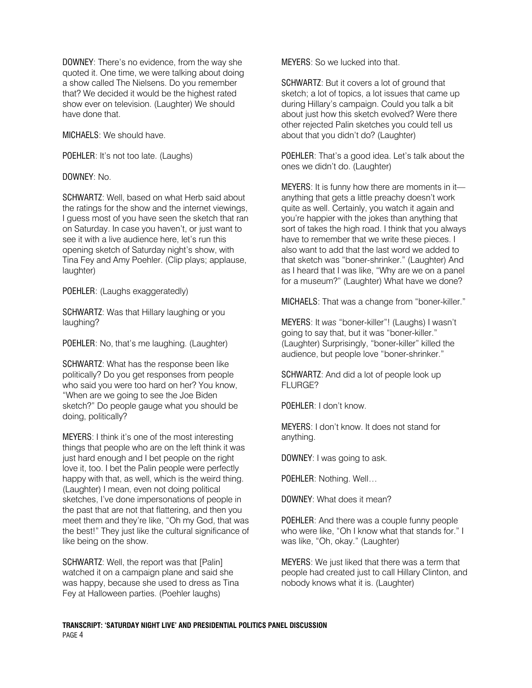DOWNEY: There's no evidence, from the way she quoted it. One time, we were talking about doing a show called The Nielsens. Do you remember that? We decided it would be the highest rated show ever on television. (Laughter) We should have done that.

MICHAELS: We should have.

POEHLER: It's not too late. (Laughs)

DOWNEY: No.

SCHWARTZ: Well, based on what Herb said about the ratings for the show and the internet viewings, I guess most of you have seen the sketch that ran on Saturday. In case you haven't, or just want to see it with a live audience here, let's run this opening sketch of Saturday night's show, with Tina Fey and Amy Poehler. (Clip plays; applause, laughter)

POEHLER: (Laughs exaggeratedly)

SCHWARTZ: Was that Hillary laughing or you laughing?

POEHLER: No, that's me laughing. (Laughter)

SCHWARTZ: What has the response been like politically? Do you get responses from people who said you were too hard on her? You know, "When are we going to see the Joe Biden sketch?" Do people gauge what you should be doing, politically?

MEYERS: I think it's one of the most interesting things that people who are on the left think it was just hard enough and I bet people on the right love it, too. I bet the Palin people were perfectly happy with that, as well, which is the weird thing. (Laughter) I mean, even not doing political sketches, I've done impersonations of people in the past that are not that flattering, and then you meet them and they're like, "Oh my God, that was the best!" They just like the cultural significance of like being on the show.

SCHWARTZ: Well, the report was that [Palin] watched it on a campaign plane and said she was happy, because she used to dress as Tina Fey at Halloween parties. (Poehler laughs)

MEYERS: So we lucked into that.

SCHWARTZ: But it covers a lot of ground that sketch; a lot of topics, a lot issues that came up during Hillary's campaign. Could you talk a bit about just how this sketch evolved? Were there other rejected Palin sketches you could tell us about that you didn't do? (Laughter)

POEHLER: That's a good idea. Let's talk about the ones we didn't do. (Laughter)

MEYERS: It is funny how there are moments in it anything that gets a little preachy doesn't work quite as well. Certainly, you watch it again and you're happier with the jokes than anything that sort of takes the high road. I think that you always have to remember that we write these pieces. I also want to add that the last word we added to that sketch was "boner-shrinker." (Laughter) And as I heard that I was like, "Why are we on a panel for a museum?" (Laughter) What have we done?

MICHAELS: That was a change from "boner-killer."

MEYERS: It *was* "boner-killer"! (Laughs) I wasn't going to say that, but it was "boner-killer." (Laughter) Surprisingly, "boner-killer" killed the audience, but people love "boner-shrinker."

SCHWARTZ: And did a lot of people look up FLURGE?

POEHLER: I don't know.

MEYERS: I don't know. It does not stand for anything.

DOWNEY: I was going to ask.

POEHLER: Nothing. Well…

DOWNEY: What does it mean?

POEHLER: And there was a couple funny people who were like, "Oh I know what that stands for." I was like, "Oh, okay." (Laughter)

MEYERS: We just liked that there was a term that people had created just to call Hillary Clinton, and nobody knows what it is. (Laughter)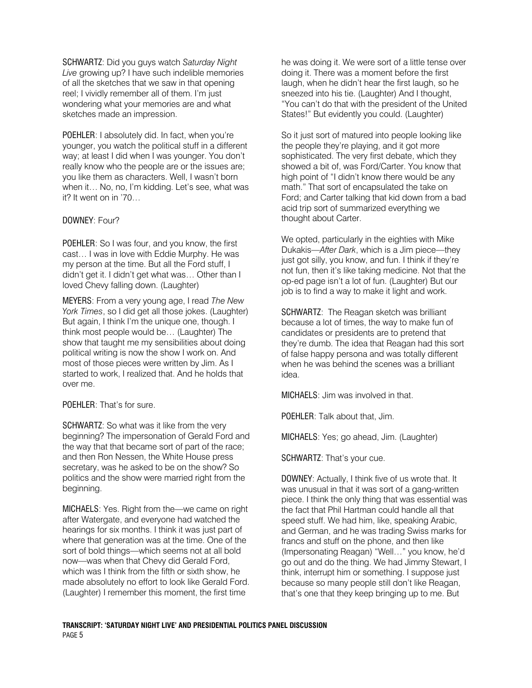SCHWARTZ: Did you guys watch *Saturday Night Live* growing up? I have such indelible memories of all the sketches that we saw in that opening reel; I vividly remember all of them. I'm just wondering what your memories are and what sketches made an impression.

POEHLER: I absolutely did. In fact, when you're younger, you watch the political stuff in a different way; at least I did when I was younger. You don't really know who the people are or the issues are; you like them as characters. Well, I wasn't born when it… No, no, I'm kidding. Let's see, what was it? It went on in '70…

## DOWNEY: Four?

POEHLER: So I was four, and you know, the first cast… I was in love with Eddie Murphy. He was my person at the time. But all the Ford stuff, I didn't get it. I didn't get what was… Other than I loved Chevy falling down. (Laughter)

MEYERS: From a very young age, I read *The New York Times*, so I did get all those jokes. (Laughter) But again, I think I'm the unique one, though. I think most people would be… (Laughter) The show that taught me my sensibilities about doing political writing is now the show I work on. And most of those pieces were written by Jim. As I started to work, I realized that. And he holds that over me.

#### POEHLER: That's for sure.

SCHWARTZ: So what was it like from the very beginning? The impersonation of Gerald Ford and the way that that became sort of part of the race; and then Ron Nessen, the White House press secretary, was he asked to be on the show? So politics and the show were married right from the beginning.

MICHAELS: Yes. Right from the—we came on right after Watergate, and everyone had watched the hearings for six months. I think it was just part of where that generation was at the time. One of the sort of bold things—which seems not at all bold now—was when that Chevy did Gerald Ford, which was I think from the fifth or sixth show, he made absolutely no effort to look like Gerald Ford. (Laughter) I remember this moment, the first time

he was doing it. We were sort of a little tense over doing it. There was a moment before the first laugh, when he didn't hear the first laugh, so he sneezed into his tie. (Laughter) And I thought, "You can't do that with the president of the United States!" But evidently you could. (Laughter)

So it just sort of matured into people looking like the people they're playing, and it got more sophisticated. The very first debate, which they showed a bit of, was Ford/Carter. You know that high point of "I didn't know there would be any math." That sort of encapsulated the take on Ford; and Carter talking that kid down from a bad acid trip sort of summarized everything we thought about Carter.

We opted, particularly in the eighties with Mike Dukakis—*After Dark*, which is a Jim piece—they just got silly, you know, and fun. I think if they're not fun, then it's like taking medicine. Not that the op-ed page isn't a lot of fun. (Laughter) But our job is to find a way to make it light and work.

SCHWARTZ: The Reagan sketch was brilliant because a lot of times, the way to make fun of candidates or presidents are to pretend that they're dumb. The idea that Reagan had this sort of false happy persona and was totally different when he was behind the scenes was a brilliant idea.

MICHAELS: Jim was involved in that.

POEHLER: Talk about that, Jim.

MICHAELS: Yes; go ahead, Jim. (Laughter)

SCHWARTZ: That's your cue.

DOWNEY: Actually, I think five of us wrote that. It was unusual in that it was sort of a gang-written piece. I think the only thing that was essential was the fact that Phil Hartman could handle all that speed stuff. We had him, like, speaking Arabic, and German, and he was trading Swiss marks for francs and stuff on the phone, and then like (Impersonating Reagan) "Well…" you know, he'd go out and do the thing. We had Jimmy Stewart, I think, interrupt him or something. I suppose just because so many people still don't like Reagan, that's one that they keep bringing up to me. But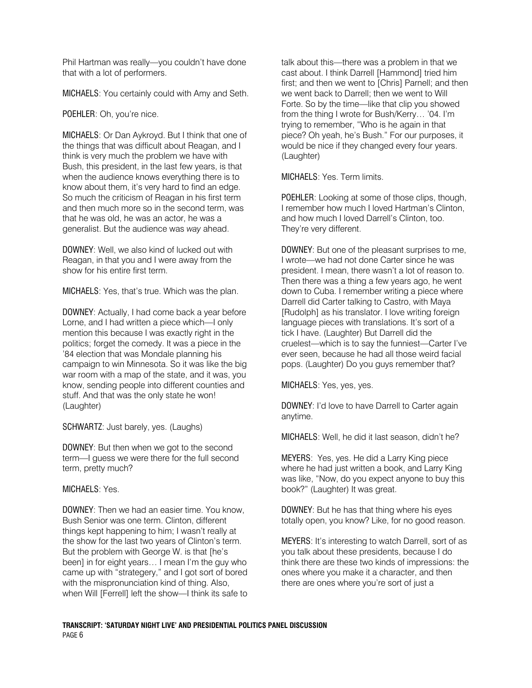Phil Hartman was really—you couldn't have done that with a lot of performers.

MICHAELS: You certainly could with Amy and Seth.

POEHLER: Oh, you're nice.

MICHAELS: Or Dan Aykroyd. But I think that one of the things that was difficult about Reagan, and I think is very much the problem we have with Bush, this president, in the last few years, is that when the audience knows everything there is to know about them, it's very hard to find an edge. So much the criticism of Reagan in his first term and then much more so in the second term, was that he was old, he was an actor, he was a generalist. But the audience was *way* ahead.

DOWNEY: Well, we also kind of lucked out with Reagan, in that you and I were away from the show for his entire first term.

MICHAELS: Yes, that's true. Which was the plan.

DOWNEY: Actually, I had come back a year before Lorne, and I had written a piece which—I only mention this because I was exactly right in the politics; forget the comedy. It was a piece in the '84 election that was Mondale planning his campaign to win Minnesota. So it was like the big war room with a map of the state, and it was, you know, sending people into different counties and stuff. And that was the only state he won! (Laughter)

SCHWARTZ: Just barely, yes. (Laughs)

DOWNEY: But then when we got to the second term—I guess we were there for the full second term, pretty much?

MICHAELS: Yes.

DOWNEY: Then we had an easier time. You know, Bush Senior was one term. Clinton, different things kept happening to him; I wasn't really at the show for the last two years of Clinton's term. But the problem with George W. is that [he's been] in for eight years… I mean I'm the guy who came up with "strategery," and I got sort of bored with the mispronunciation kind of thing. Also, when Will [Ferrell] left the show—I think its safe to

talk about this—there was a problem in that we cast about. I think Darrell [Hammond] tried him first; and then we went to [Chris] Parnell; and then we went back to Darrell; then we went to Will Forte. So by the time—like that clip you showed from the thing I wrote for Bush/Kerry… '04. I'm trying to remember, "Who is he again in that piece? Oh yeah, he's Bush." For our purposes, it would be nice if they changed every four years. (Laughter)

MICHAELS: Yes. Term limits.

POEHLER: Looking at some of those clips, though, I remember how much I loved Hartman's Clinton, and how much I loved Darrell's Clinton, too. They're very different.

DOWNEY: But one of the pleasant surprises to me, I wrote—we had not done Carter since he was president. I mean, there wasn't a lot of reason to. Then there was a thing a few years ago, he went down to Cuba. I remember writing a piece where Darrell did Carter talking to Castro, with Maya [Rudolph] as his translator. I love writing foreign language pieces with translations. It's sort of a tick I have. (Laughter) But Darrell did the cruelest—which is to say the funniest—Carter I've ever seen, because he had all those weird facial pops. (Laughter) Do you guys remember that?

MICHAELS: Yes, yes, yes.

DOWNEY: I'd love to have Darrell to Carter again anytime.

MICHAELS: Well, he did it last season, didn't he?

MEYERS: Yes, yes. He did a Larry King piece where he had just written a book, and Larry King was like, "Now, do you expect anyone to buy this book?" (Laughter) It was great.

DOWNEY: But he has that thing where his eyes totally open, you know? Like, for no good reason.

MEYERS: It's interesting to watch Darrell, sort of as you talk about these presidents, because I do think there are these two kinds of impressions: the ones where you make it a character, and then there are ones where you're sort of just a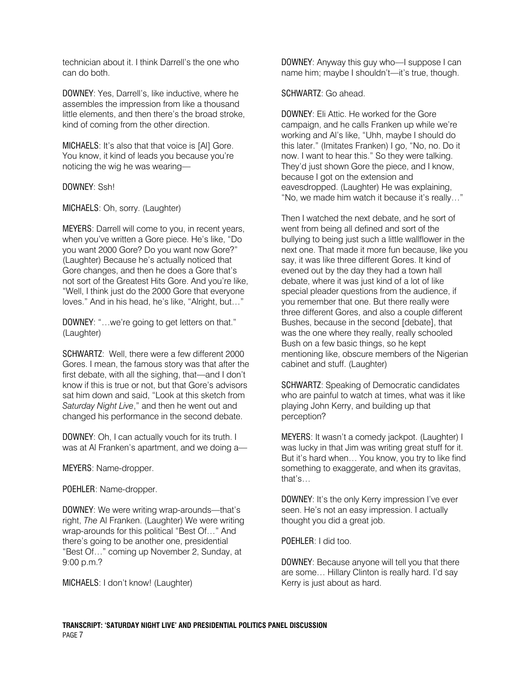technician about it. I think Darrell's the one who can do both.

DOWNEY: Yes, Darrell's, like inductive, where he assembles the impression from like a thousand little elements, and then there's the broad stroke, kind of coming from the other direction.

MICHAELS: It's also that that voice is [Al] Gore. You know, it kind of leads you because you're noticing the wig he was wearing—

### DOWNEY: Ssh!

MICHAELS: Oh, sorry. (Laughter)

MEYERS: Darrell will come to you, in recent years, when you've written a Gore piece. He's like, "Do you want 2000 Gore? Do you want now Gore?" (Laughter) Because he's actually noticed that Gore changes, and then he does a Gore that's not sort of the Greatest Hits Gore. And you're like, "Well, I think just do the 2000 Gore that everyone loves." And in his head, he's like, "Alright, but…"

DOWNEY: "…we're going to get letters on that." (Laughter)

SCHWARTZ: Well, there were a few different 2000 Gores. I mean, the famous story was that after the first debate, with all the sighing, that—and I don't know if this is true or not, but that Gore's advisors sat him down and said, "Look at this sketch from *Saturday Night Live*," and then he went out and changed his performance in the second debate.

DOWNEY: Oh, I can actually vouch for its truth. I was at Al Franken's apartment, and we doing a—

MEYERS: Name-dropper.

POEHLER: Name-dropper.

DOWNEY: We were writing wrap-arounds—that's right, *The* Al Franken. (Laughter) We were writing wrap-arounds for this political "Best Of…" And there's going to be another one, presidential "Best Of…" coming up November 2, Sunday, at 9:00 p.m.?

MICHAELS: I don't know! (Laughter)

DOWNEY: Anyway this guy who—I suppose I can name him; maybe I shouldn't—it's true, though.

#### SCHWARTZ: Go ahead.

DOWNEY: Eli Attic. He worked for the Gore campaign, and he calls Franken up while we're working and Al's like, "Uhh, maybe I should do this later." (Imitates Franken) I go, "No, no. Do it now. I want to hear this." So they were talking. They'd just shown Gore the piece, and I know, because I got on the extension and eavesdropped. (Laughter) He was explaining, "No, we made him watch it because it's really…"

Then I watched the next debate, and he sort of went from being all defined and sort of the bullying to being just such a little wallflower in the next one. That made it more fun because, like you say, it was like three different Gores. It kind of evened out by the day they had a town hall debate, where it was just kind of a lot of like special pleader questions from the audience, if you remember that one. But there really were three different Gores, and also a couple different Bushes, because in the second [debate], that was the one where they really, really schooled Bush on a few basic things, so he kept mentioning like, obscure members of the Nigerian cabinet and stuff. (Laughter)

SCHWARTZ: Speaking of Democratic candidates who are painful to watch at times, what was it like playing John Kerry, and building up that perception?

MEYERS: It wasn't a comedy jackpot. (Laughter) I was lucky in that Jim was writing great stuff for it. But it's hard when… You know, you try to like find something to exaggerate, and when its gravitas, that's…

DOWNEY: It's the only Kerry impression I've ever seen. He's not an easy impression. I actually thought you did a great job.

POEHLER: I did too.

DOWNEY: Because anyone will tell you that there are some… Hillary Clinton is really hard. I'd say Kerry is just about as hard.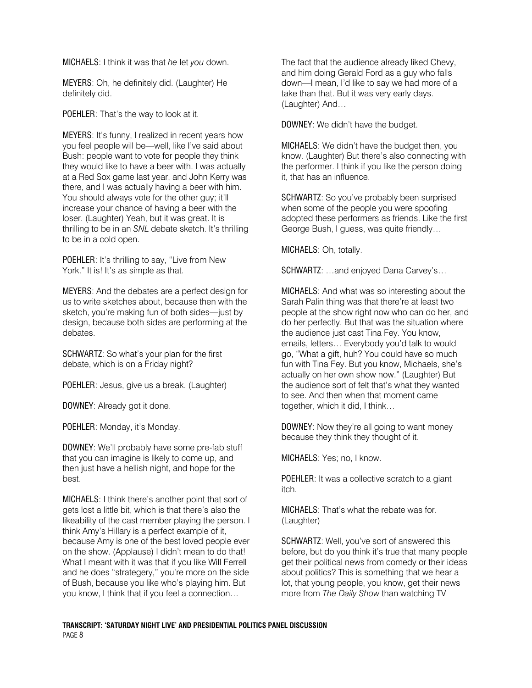MICHAELS: I think it was that *he* let *you* down.

MEYERS: Oh, he definitely did. (Laughter) He definitely did.

POEHLER: That's the way to look at it.

MEYERS: It's funny, I realized in recent years how you feel people will be—well, like I've said about Bush: people want to vote for people they think they would like to have a beer with. I was actually at a Red Sox game last year, and John Kerry was there, and I was actually having a beer with him. You should always vote for the other guy; it'll increase your chance of having a beer with the loser. (Laughter) Yeah, but it was great. It is thrilling to be in an *SNL* debate sketch. It's thrilling to be in a cold open.

POEHLER: It's thrilling to say, "Live from New York." It is! It's as simple as that.

MEYERS: And the debates are a perfect design for us to write sketches about, because then with the sketch, you're making fun of both sides—just by design, because both sides are performing at the debates.

SCHWARTZ: So what's your plan for the first debate, which is on a Friday night?

POEHLER: Jesus, give us a break. (Laughter)

DOWNEY: Already got it done.

POEHLER: Monday, it's Monday.

DOWNEY: We'll probably have some pre-fab stuff that you can imagine is likely to come up, and then just have a hellish night, and hope for the best.

MICHAELS: I think there's another point that sort of gets lost a little bit, which is that there's also the likeability of the cast member playing the person. I think Amy's Hillary is a perfect example of it, because Amy is one of the best loved people ever on the show. (Applause) I didn't mean to do that! What I meant with it was that if you like Will Ferrell and he does "strategery," you're more on the side of Bush, because you like who's playing him. But you know, I think that if you feel a connection…

The fact that the audience already liked Chevy, and him doing Gerald Ford as a guy who falls down—I mean, I'd like to say we had more of a take than that. But it was very early days. (Laughter) And…

DOWNEY: We didn't have the budget.

MICHAELS: We didn't have the budget then, you know. (Laughter) But there's also connecting with the performer. I think if you like the person doing it, that has an influence.

SCHWARTZ: So you've probably been surprised when some of the people you were spoofing adopted these performers as friends. Like the first George Bush, I guess, was quite friendly…

MICHAELS: Oh, totally.

SCHWARTZ: …and enjoyed Dana Carvey's…

MICHAELS: And what was so interesting about the Sarah Palin thing was that there're at least two people at the show right now who can do her, and do her perfectly. But that was the situation where the audience just cast Tina Fey. You know, emails, letters… Everybody you'd talk to would go, "What a gift, huh? You could have so much fun with Tina Fey. But you know, Michaels, she's actually on her own show now." (Laughter) But the audience sort of felt that's what they wanted to see. And then when that moment came together, which it did, I think…

DOWNEY: Now they're all going to want money because they think they thought of it.

MICHAELS: Yes; no, I know.

POEHLER: It was a collective scratch to a giant itch.

MICHAELS: That's what the rebate was for. (Laughter)

SCHWARTZ: Well, you've sort of answered this before, but do you think it's true that many people get their political news from comedy or their ideas about politics? This is something that we hear a lot, that young people, you know, get their news more from *The Daily Show* than watching TV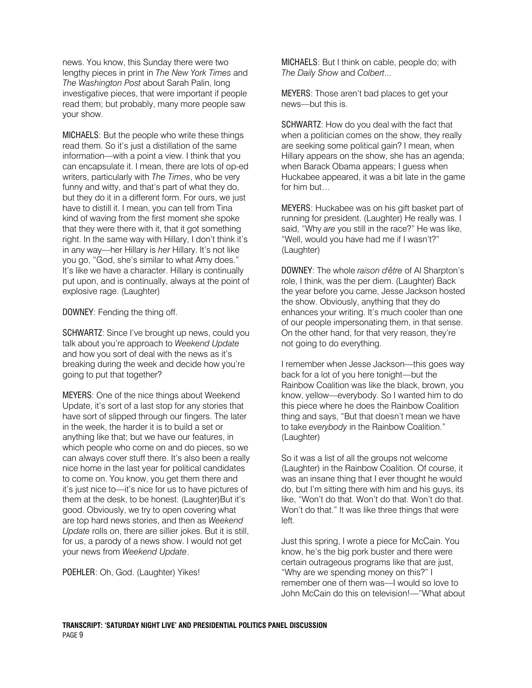news. You know, this Sunday there were two lengthy pieces in print in *The New York Times* and *The Washington Post* about Sarah Palin, long investigative pieces, that were important if people read them; but probably, many more people saw your show.

MICHAELS: But the people who write these things read them. So it's just a distillation of the same information—with a point a view. I think that you can encapsulate it. I mean, there are lots of op-ed writers, particularly with *The Times*, who be very funny and witty, and that's part of what they do, but they do it in a different form. For ours, we just have to distill it. I mean, you can tell from Tina kind of waving from the first moment she spoke that they were there with it, that it got something right. In the same way with Hillary, I don't think it's in any way—her Hillary is *her* Hillary. It's not like you go, "God, she's similar to what Amy does." It's like we have a character. Hillary is continually put upon, and is continually, always at the point of explosive rage. (Laughter)

DOWNEY: Fending the thing off.

SCHWARTZ: Since I've brought up news, could you talk about you're approach to *Weekend Update* and how you sort of deal with the news as it's breaking during the week and decide how you're going to put that together?

MEYERS: One of the nice things about Weekend Update, it's sort of a last stop for any stories that have sort of slipped through our fingers. The later in the week, the harder it is to build a set or anything like that; but we have our features, in which people who come on and do pieces, so we can always cover stuff there. It's also been a really nice home in the last year for political candidates to come on. You know, you get them there and it's just nice to—it's nice for us to have pictures of them at the desk, to be honest. (Laughter)But it's good. Obviously, we try to open covering what are top hard news stories, and then as *Weekend Update* rolls on, there are sillier jokes. But it is still, for us, a parody of a news show. I would not get your news from *Weekend Update*.

POEHLER: Oh, God. (Laughter) Yikes!

MICHAELS: But I think on cable, people do; with *The Daily Show* and *Colbert*...

MEYERS: Those aren't bad places to get your news—but this is.

SCHWARTZ: How do you deal with the fact that when a politician comes on the show, they really are seeking some political gain? I mean, when Hillary appears on the show, she has an agenda; when Barack Obama appears; I guess when Huckabee appeared, it was a bit late in the game for him but…

MEYERS: Huckabee was on his gift basket part of running for president. (Laughter) He really was. I said, "Why *are* you still in the race?" He was like, "Well, would you have had me if I wasn't?" (Laughter)

DOWNEY: The whole *raison d'être* of Al Sharpton's role, I think, was the per diem. (Laughter) Back the year before you came, Jesse Jackson hosted the show. Obviously, anything that they do enhances your writing. It's much cooler than one of our people impersonating them, in that sense. On the other hand, for that very reason, they're not going to do everything.

I remember when Jesse Jackson—this goes way back for a lot of you here tonight—but the Rainbow Coalition was like the black, brown, you know, yellow—everybody. So I wanted him to do this piece where he does the Rainbow Coalition thing and says, "But that doesn't mean we have to take *everybody* in the Rainbow Coalition." (Laughter)

So it was a list of all the groups not welcome (Laughter) in the Rainbow Coalition. Of course, it was an insane thing that I ever thought he would do, but I'm sitting there with him and his guys, its like, "Won't do that. Won't do that. Won't do that. Won't do that." It was like three things that were left.

Just this spring, I wrote a piece for McCain. You know, he's the big pork buster and there were certain outrageous programs like that are just, "Why are we spending money on this?" I remember one of them was—I would so love to John McCain do this on television!—"What about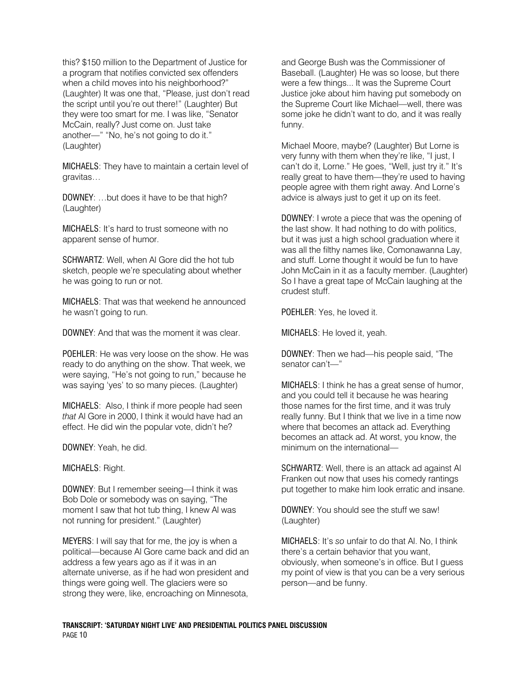this? \$150 million to the Department of Justice for a program that notifies convicted sex offenders when a child moves into his neighborhood?" (Laughter) It was one that, "Please, just don't read the script until you're out there!" (Laughter) But they were too smart for me. I was like, "Senator McCain, really? Just come on. Just take another—" "No, he's not going to do it." (Laughter)

MICHAELS: They have to maintain a certain level of gravitas…

DOWNEY: …but does it have to be that high? (Laughter)

MICHAELS: It's hard to trust someone with no apparent sense of humor.

SCHWARTZ: Well, when Al Gore did the hot tub sketch, people we're speculating about whether he was going to run or not.

MICHAELS: That was that weekend he announced he wasn't going to run.

DOWNEY: And that was the moment it was clear.

POEHLER: He was very loose on the show. He was ready to do anything on the show. That week, we were saying, "He's not going to run," because he was saying 'yes' to so many pieces. (Laughter)

MICHAELS: Also, I think if more people had seen *that* Al Gore in 2000, I think it would have had an effect. He did win the popular vote, didn't he?

DOWNEY: Yeah, he did.

MICHAELS: Right.

DOWNEY: But I remember seeing—I think it was Bob Dole or somebody was on saying, "The moment I saw that hot tub thing, I knew Al was not running for president." (Laughter)

MEYERS: I will say that for me, the joy is when a political—because Al Gore came back and did an address a few years ago as if it was in an alternate universe, as if he had won president and things were going well. The glaciers were so strong they were, like, encroaching on Minnesota,

and George Bush was the Commissioner of Baseball. (Laughter) He was so loose, but there were a few things... It was the Supreme Court Justice joke about him having put somebody on the Supreme Court like Michael—well, there was some joke he didn't want to do, and it was really funny.

Michael Moore, maybe? (Laughter) But Lorne is very funny with them when they're like, "I just, I can't do it, Lorne." He goes, "Well, just try it." It's really great to have them—they're used to having people agree with them right away. And Lorne's advice is always just to get it up on its feet.

DOWNEY: I wrote a piece that was the opening of the last show. It had nothing to do with politics, but it was just a high school graduation where it was all the filthy names like, Comonawanna Lay, and stuff. Lorne thought it would be fun to have John McCain in it as a faculty member. (Laughter) So I have a great tape of McCain laughing at the crudest stuff.

POEHLER: Yes, he loved it.

MICHAELS: He loved it, yeah.

DOWNEY: Then we had—his people said, "The senator can't—"

MICHAELS: I think he has a great sense of humor, and you could tell it because he was hearing those names for the first time, and it was truly really funny. But I think that we live in a time now where that becomes an attack ad. Everything becomes an attack ad. At worst, you know, the minimum on the international—

SCHWARTZ: Well, there is an attack ad against Al Franken out now that uses his comedy rantings put together to make him look erratic and insane.

DOWNEY: You should see the stuff we saw! (Laughter)

MICHAELS: It's *so* unfair to do that Al. No, I think there's a certain behavior that you want, obviously, when someone's in office. But I guess my point of view is that you can be a very serious person—and be funny.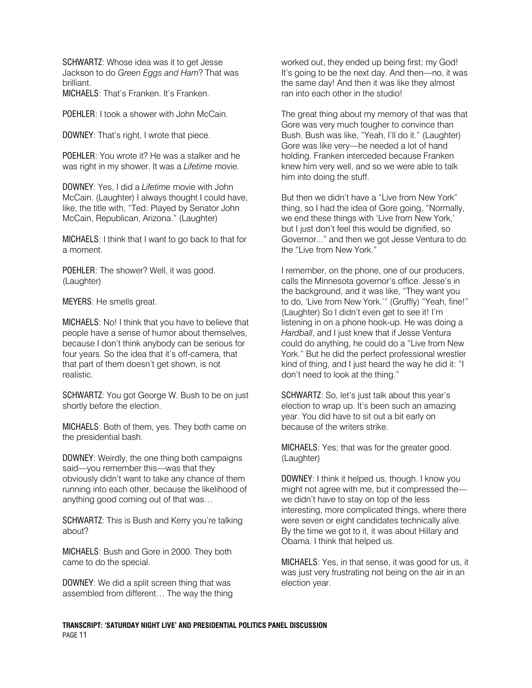SCHWARTZ: Whose idea was it to get Jesse Jackson to do *Green Eggs and Ham*? That was brilliant. MICHAELS: That's Franken. It's Franken.

POEHLER: I took a shower with John McCain.

DOWNEY: That's right, I wrote that piece.

POEHLER: You wrote it? He was a stalker and he was right in my shower. It was a *Lifetime* movie.

DOWNEY: Yes, I did a *Lifetime* movie with John McCain. (Laughter) I always thought I could have, like, the title with, "Ted: Played by Senator John McCain, Republican, Arizona." (Laughter)

MICHAELS: I think that I want to go back to that for a moment.

POEHLER: The shower? Well, it was good. (Laughter)

MEYERS: He smells great.

MICHAELS: No! I think that you have to believe that people have a sense of humor about themselves, because I don't think anybody can be serious for four years. So the idea that it's off-camera, that that part of them doesn't get shown, is not realistic.

SCHWARTZ: You got George W. Bush to be on just shortly before the election.

MICHAELS: Both of them, yes. They both came on the presidential bash.

DOWNEY: Weirdly, the one thing both campaigns said—you remember this—was that they obviously didn't want to take any chance of them running into each other, because the likelihood of anything good coming out of that was…

SCHWARTZ: This is Bush and Kerry you're talking about?

MICHAELS: Bush and Gore in 2000. They both came to do the special.

DOWNEY: We did a split screen thing that was assembled from different… The way the thing

worked out, they ended up being first; my God! It's going to be the next day. And then—no, it was the same day! And then it was like they almost ran into each other in the studio!

The great thing about my memory of that was that Gore was very much tougher to convince than Bush. Bush was like, "Yeah, I'll do it." (Laughter) Gore was like very—he needed a lot of hand holding. Franken interceded because Franken knew him very well, and so we were able to talk him into doing the stuff.

But then we didn't have a "Live from New York" thing, so I had the idea of Gore going, "Normally, we end these things with 'Live from New York,' but I just don't feel this would be dignified, so Governor..." and then we got Jesse Ventura to do the "Live from New York."

I remember, on the phone, one of our producers, calls the Minnesota governor's office. Jesse's in the background, and it was like, "They want you to do, 'Live from New York.'" (Gruffly) "Yeah, fine!" (Laughter) So I didn't even get to see it! I'm listening in on a phone hook-up. He was doing a *Hardball*, and I just knew that if Jesse Ventura could do anything, he could do a "Live from New York." But he did the perfect professional wrestler kind of thing, and I just heard the way he did it: "I don't need to look at the thing."

SCHWARTZ: So, let's just talk about this year's election to wrap up. It's been such an amazing year. You did have to sit out a bit early on because of the writers strike.

MICHAELS: Yes; that was for the greater good. (Laughter)

DOWNEY: I think it helped us, though. I know you might not agree with me, but it compressed the we didn't have to stay on top of the less interesting, more complicated things, where there were seven or eight candidates technically alive. By the time we got to it, it was about Hillary and Obama. I think that helped us.

MICHAELS: Yes, in that sense, it was good for us, it was just very frustrating not being on the air in an election year.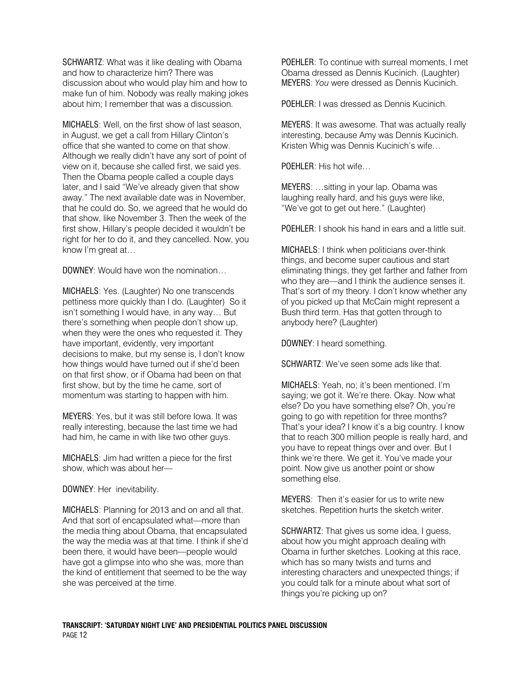SCHWARTZ: What was it like dealing with Obama and how to characterize him? There was discussion about who would play him and how to make fun of him. Nobody was really making jokes about him; I remember that was a discussion.

MICHAELS: Well, on the first show of last season, in August, we get a call from Hillary Clinton's office that she wanted to come on that show. Although we really didn't have any sort of point of view on it, because she called first, we said yes. Then the Obama people called a couple days later, and I said "We've already given that show away." The next available date was in November, that he could do. So, we agreed that he would do that show, like November 3. Then the week of the first show, Hillary's people decided it wouldn't be right for her to do it, and they cancelled. Now, you know I'm great at…

DOWNEY: Would have won the nomination…

MICHAELS: Yes. (Laughter) No one transcends pettiness more quickly than I do. (Laughter) So it isn't something I would have, in any way… But there's something when people don't show up, when they were the ones who requested it. They have important, evidently, very important decisions to make, but my sense is, I don't know how things would have turned out if she'd been on that first show, or if Obama had been on that first show, but by the time he came, sort of momentum was starting to happen with him.

MEYERS: Yes, but it was still before Iowa. It was really interesting, because the last time we had had him, he came in with like two other guys.

MICHAELS: Jim had written a piece for the first show, which was about her—

DOWNEY: Her inevitability.

MICHAELS: Planning for 2013 and on and all that. And that sort of encapsulated what—more than the media thing about Obama, that encapsulated the way the media was at that time. I think if she'd been there, it would have been—people would have got a glimpse into who she was, more than the kind of entitlement that seemed to be the way she was perceived at the time.

POEHLER: To continue with surreal moments, I met Obama dressed as Dennis Kucinich. (Laughter) MEYERS: *You* were dressed as Dennis Kucinich.

POEHLER: I was dressed as Dennis Kucinich.

MEYERS: It was awesome. That was actually really interesting, because Amy was Dennis Kucinich. Kristen Whig was Dennis Kucinich's wife…

POEHLER: His hot wife…

MEYERS: …sitting in your lap. Obama was laughing really hard, and his guys were like, "We've got to get out here." (Laughter)

POEHLER: I shook his hand in ears and a little suit.

MICHAELS: I think when politicians over-think things, and become super cautious and start eliminating things, they get farther and father from who they are—and I think the audience senses it. That's sort of my theory. I don't know whether any of you picked up that McCain might represent a Bush third term. Has that gotten through to anybody here? (Laughter)

DOWNEY: I heard something.

SCHWARTZ: We've seen some ads like that.

MICHAELS: Yeah, no; it's been mentioned. I'm saying; we got it. We're there. Okay. Now what else? Do you have something else? Oh, you're going to go with repetition for three months? That's your idea? I know it's a big country. I know that to reach 300 million people is really hard, and you have to repeat things over and over. But I think we're there. We get it. You've made your point. Now give us another point or show something else.

MEYERS: Then it's easier for us to write new sketches. Repetition hurts the sketch writer.

SCHWARTZ: That gives us some idea, I guess, about how you might approach dealing with Obama in further sketches. Looking at this race, which has so many twists and turns and interesting characters and unexpected things; if you could talk for a minute about what sort of things you're picking up on?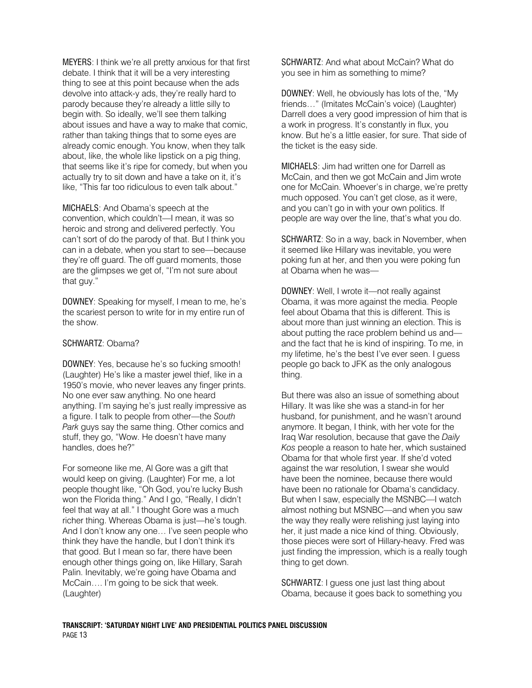MEYERS: I think we're all pretty anxious for that first debate. I think that it will be a very interesting thing to see at this point because when the ads devolve into attack-y ads, they're really hard to parody because they're already a little silly to begin with. So ideally, we'll see them talking about issues and have a way to make that comic, rather than taking things that to some eyes are already comic enough. You know, when they talk about, like, the whole like lipstick on a pig thing, that seems like it's ripe for comedy, but when you actually try to sit down and have a take on it, it's like, "This far too ridiculous to even talk about."

MICHAELS: And Obama's speech at the convention, which couldn't—I mean, it was so heroic and strong and delivered perfectly. You can't sort of do the parody of that. But I think you can in a debate, when you start to see—because they're off guard. The off guard moments, those are the glimpses we get of, "I'm not sure about that guy."

DOWNEY: Speaking for myself, I mean to me, he's the scariest person to write for in my entire run of the show.

### SCHWARTZ: Obama?

DOWNEY: Yes, because he's so fucking smooth! (Laughter) He's like a master jewel thief, like in a 1950's movie, who never leaves any finger prints. No one ever saw anything. No one heard anything. I'm saying he's just really impressive as a figure. I talk to people from other—the *South Park* guys say the same thing. Other comics and stuff, they go, "Wow. He doesn't have many handles, does he?"

For someone like me, Al Gore was a gift that would keep on giving. (Laughter) For me, a lot people thought like, "Oh God, you're lucky Bush won the Florida thing." And I go, "Really, I didn't feel that way at all." I thought Gore was a much richer thing. Whereas Obama is just—he's tough. And I don't know any one… I've seen people who think they have the handle, but I don't think it's that good. But I mean so far, there have been enough other things going on, like Hillary, Sarah Palin. Inevitably, we're going have Obama and McCain…. I'm going to be sick that week. (Laughter)

SCHWARTZ: And what about McCain? What do you see in him as something to mime?

DOWNEY: Well, he obviously has lots of the, "My friends…" (Imitates McCain's voice) (Laughter) Darrell does a very good impression of him that is a work in progress. It's constantly in flux, you know. But he's a little easier, for sure. That side of the ticket is the easy side.

MICHAELS: Jim had written one for Darrell as McCain, and then we got McCain and Jim wrote one for McCain. Whoever's in charge, we're pretty much opposed. You can't get close, as it were, and you can't go in with your own politics. If people are way over the line, that's what you do.

SCHWARTZ: So in a way, back in November, when it seemed like Hillary was inevitable, you were poking fun at her, and then you were poking fun at Obama when he was—

DOWNEY: Well, I wrote it—not really against Obama, it was more against the media. People feel about Obama that this is different. This is about more than just winning an election. This is about putting the race problem behind us and and the fact that he is kind of inspiring. To me, in my lifetime, he's the best I've ever seen. I guess people go back to JFK as the only analogous thing.

But there was also an issue of something about Hillary. It was like she was a stand-in for her husband, for punishment, and he wasn't around anymore. It began, I think, with her vote for the Iraq War resolution, because that gave the *Daily Kos* people a reason to hate her, which sustained Obama for that whole first year. If she'd voted against the war resolution, I swear she would have been the nominee, because there would have been no rationale for Obama's candidacy. But when I saw, especially the MSNBC—I watch almost nothing but MSNBC—and when you saw the way they really were relishing just laying into her, it just made a nice kind of thing. Obviously, those pieces were sort of Hillary-heavy. Fred was just finding the impression, which is a really tough thing to get down.

SCHWARTZ: I guess one just last thing about Obama, because it goes back to something you